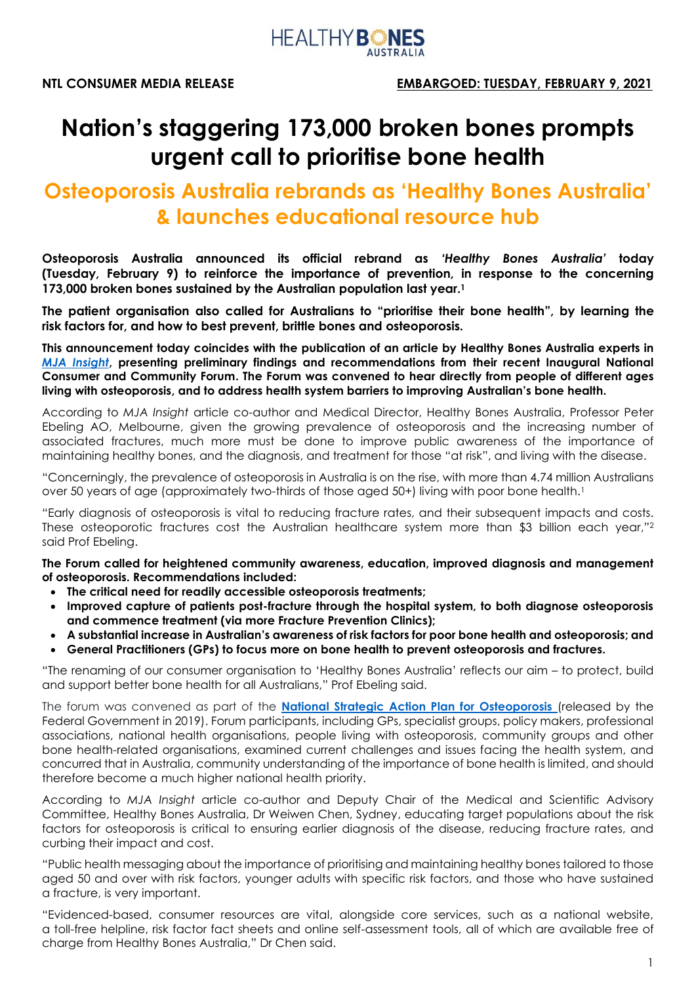

# **Nation's staggering 173,000 broken bones prompts urgent call to prioritise bone health**

## **Osteoporosis Australia rebrands as 'Healthy Bones Australia' & launches educational resource hub**

**Osteoporosis Australia announced its official rebrand as** *'Healthy Bones Australia'* **today (Tuesday, February 9) to reinforce the importance of prevention, in response to the concerning 173,000 broken bones sustained by the Australian population last year. 1**

**The patient organisation also called for Australians to "prioritise their bone health", by learning the risk factors for, and how to best prevent, brittle bones and osteoporosis.** 

**This announcement today coincides with the publication of an article by Healthy Bones Australia experts in**  *[MJA Insight](https://insightplus.mja.com.au/2021/3/osteoporosis-setting-a-new-agenda-for-australia/)***, presenting preliminary findings and recommendations from their recent Inaugural National Consumer and Community Forum. The Forum was convened to hear directly from people of different ages living with osteoporosis, and to address health system barriers to improving Australian's bone health.** 

According to *MJA Insight* article co-author and Medical Director, Healthy Bones Australia, Professor Peter Ebeling AO, Melbourne, given the growing prevalence of osteoporosis and the increasing number of associated fractures, much more must be done to improve public awareness of the importance of maintaining healthy bones, and the diagnosis, and treatment for those "at risk", and living with the disease.

"Concerningly, the prevalence of osteoporosis in Australia is on the rise, with more than 4.74 million Australians over 50 years of age (approximately two-thirds of those aged 50+) living with poor bone health.<sup>1</sup>

"Early diagnosis of osteoporosis is vital to reducing fracture rates, and their subsequent impacts and costs. These osteoporotic fractures cost the Australian healthcare system more than \$3 billion each year," 2 said Prof Ebeling.

**The Forum called for heightened community awareness, education, improved diagnosis and management of osteoporosis. Recommendations included:**

- **The critical need for readily accessible osteoporosis treatments;**
- **Improved capture of patients post-fracture through the hospital system, to both diagnose osteoporosis and commence treatment (via more Fracture Prevention Clinics);**
- **A substantial increase in Australian's awareness of risk factors for poor bone health and osteoporosis; and**
- **General Practitioners (GPs) to focus more on bone health to prevent osteoporosis and fractures.**

"The renaming of our consumer organisation to 'Healthy Bones Australia' reflects our aim – to protect, build and support better bone health for all Australians," Prof Ebeling said.

The forum was convened as part of the **[National Strategic Action Plan for Osteoporosis](https://www.health.gov.au/sites/default/files/documents/2020/01/national-strategic-action-plan-for-osteoporosis-2019_1.pdf)** (released by the [Federal Government in 2019\).](https://www.health.gov.au/sites/default/files/documents/2020/01/national-strategic-action-plan-for-osteoporosis-2019_1.pdf) Forum participants, including GPs, specialist groups, policy makers, professional associations, national health organisations, people living with osteoporosis, community groups and other bone health-related organisations, examined current challenges and issues facing the health system, and concurred that in Australia, community understanding of the importance of bone health is limited, and should therefore become a much higher national health priority.

According to *MJA Insight* article co-author and Deputy Chair of the Medical and Scientific Advisory Committee, Healthy Bones Australia, Dr Weiwen Chen, Sydney, educating target populations about the risk factors for osteoporosis is critical to ensuring earlier diagnosis of the disease, reducing fracture rates, and curbing their impact and cost.

"Public health messaging about the importance of prioritising and maintaining healthy bones tailored to those aged 50 and over with risk factors, younger adults with specific risk factors, and those who have sustained a fracture, is very important.

"Evidenced-based, consumer resources are vital, alongside core services, such as a national website, a toll-free helpline, risk factor fact sheets and online self-assessment tools, all of which are available free of charge from Healthy Bones Australia," Dr Chen said.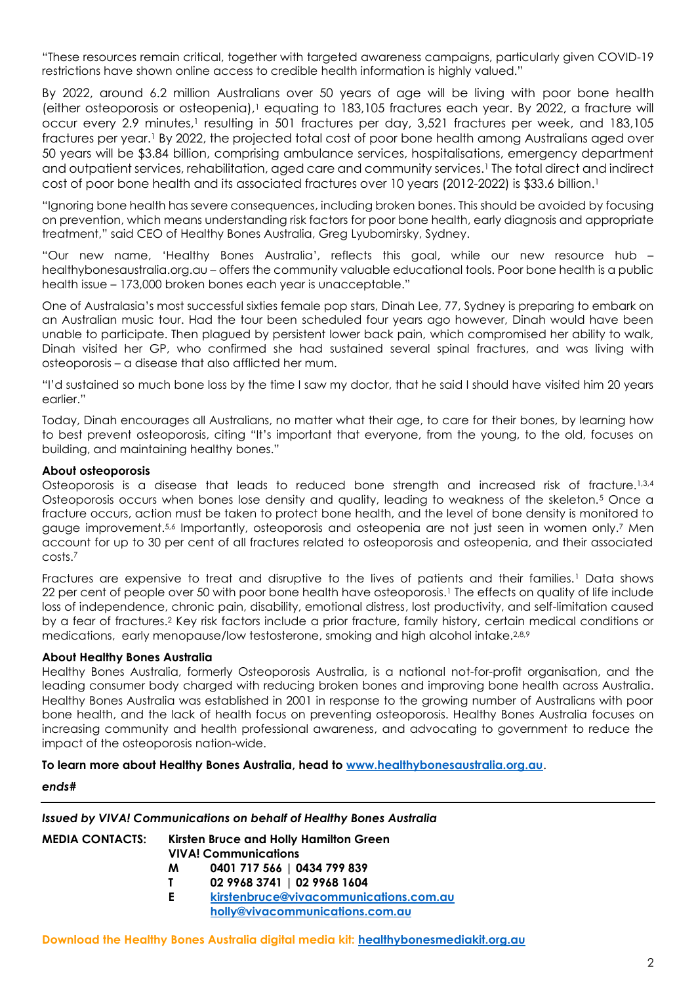"These resources remain critical, together with targeted awareness campaigns, particularly given COVID-19 restrictions have shown online access to credible health information is highly valued."

By 2022, around 6.2 million Australians over 50 years of age will be living with poor bone health (either osteoporosis or osteopenia), <sup>1</sup> equating to 183,105 fractures each year. By 2022, a fracture will occur every 2.9 minutes,<sup>1</sup> resulting in 501 fractures per day, 3,521 fractures per week, and 183,105 fractures per year.<sup>1</sup> By 2022, the projected total cost of poor bone health among Australians aged over 50 years will be \$3.84 billion, comprising ambulance services, hospitalisations, emergency department and outpatient services, rehabilitation, aged care and community services.<sup>1</sup> The total direct and indirect cost of poor bone health and its associated fractures over 10 years (2012-2022) is \$33.6 billion.<sup>1</sup>

"Ignoring bone health has severe consequences, including broken bones. This should be avoided by focusing on prevention, which means understanding risk factors for poor bone health, early diagnosis and appropriate treatment," said CEO of Healthy Bones Australia, Greg Lyubomirsky, Sydney.

"Our new name, 'Healthy Bones Australia', reflects this goal, while our new resource hub – healthybonesaustralia.org.au – offers the community valuable educational tools. Poor bone health is a public health issue – 173,000 broken bones each year is unacceptable."

One of Australasia's most successful sixties female pop stars, Dinah Lee, 77, Sydney is preparing to embark on an Australian music tour. Had the tour been scheduled four years ago however, Dinah would have been unable to participate. Then plagued by persistent lower back pain, which compromised her ability to walk, Dinah visited her GP, who confirmed she had sustained several spinal fractures, and was living with osteoporosis – a disease that also afflicted her mum.

"I'd sustained so much bone loss by the time I saw my doctor, that he said I should have visited him 20 years earlier."

Today, Dinah encourages all Australians, no matter what their age, to care for their bones, by learning how to best prevent osteoporosis, citing "It's important that everyone, from the young, to the old, focuses on building, and maintaining healthy bones."

#### **About osteoporosis**

Osteoporosis is a disease that leads to reduced bone strength and increased risk of fracture.<sup>1,3,4</sup> Osteoporosis occurs when bones lose density and quality, leading to weakness of the skeleton.<sup>5</sup> Once a fracture occurs, action must be taken to protect bone health, and the level of bone density is monitored to gauge improvement.<sup>5,6</sup> Importantly, osteoporosis and osteopenia are not just seen in women only.<sup>7</sup> Men account for up to 30 per cent of all fractures related to osteoporosis and osteopenia, and their associated costs.<sup>7</sup>

Fractures are expensive to treat and disruptive to the lives of patients and their families.<sup>1</sup> Data shows 22 per cent of people over 50 with poor bone health have osteoporosis.<sup>1</sup> The effects on quality of life include loss of independence, chronic pain, disability, emotional distress, lost productivity, and self-limitation caused by a fear of fractures. <sup>2</sup> Key risk factors include a prior fracture, family history, certain medical conditions or medications, early menopause/low testosterone, smoking and high alcohol intake.<sup>2,8,9</sup>

#### **About Healthy Bones Australia**

Healthy Bones Australia, formerly Osteoporosis Australia, is a national not-for-profit organisation, and the leading consumer body charged with reducing broken bones and improving bone health across Australia. Healthy Bones Australia was established in 2001 in response to the growing number of Australians with poor bone health, and the lack of health focus on preventing osteoporosis. Healthy Bones Australia focuses on increasing community and health professional awareness, and advocating to government to reduce the impact of the osteoporosis nation-wide.

**To learn more about Healthy Bones Australia, head to [www.healthybonesaustralia.org.au](http://www.healthybonesaustralia.org.au/)**.

#### *ends#*

### *Issued by VIVA! Communications on behalf of Healthy Bones Australia*

| <b>MEDIA CONTACTS:</b> |    | Kirsten Bruce and Holly Hamilton Green<br><b>VIVA! Communications</b> |
|------------------------|----|-----------------------------------------------------------------------|
|                        | M  | 0401 717 566   0434 799 839                                           |
|                        |    | 02 9968 3741   02 9968 1604                                           |
|                        | E. | kirstenbruce@vivacommunications.com.au                                |
|                        |    | holly@vivacommunications.com.au                                       |

**Download the Healthy Bones Australia digital media kit: <healthybonesmediakit.org.au>**